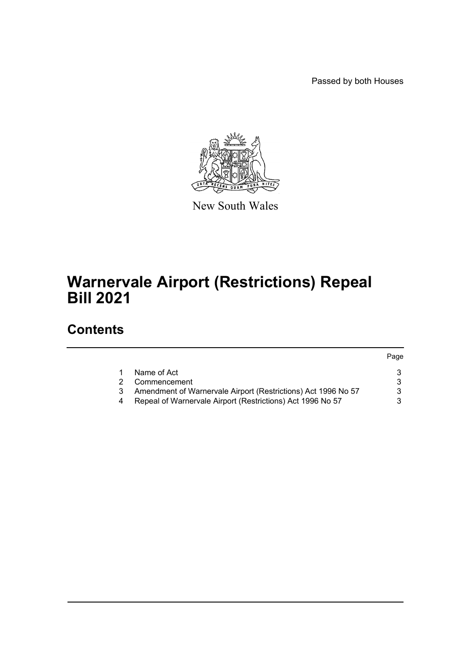Passed by both Houses



New South Wales

# **Warnervale Airport (Restrictions) Repeal Bill 2021**

### **Contents**

|    |                                                               | Page |
|----|---------------------------------------------------------------|------|
|    | Name of Act                                                   |      |
| 2. | Commencement                                                  |      |
| 3  | Amendment of Warnervale Airport (Restrictions) Act 1996 No 57 |      |
|    | Repeal of Warnervale Airport (Restrictions) Act 1996 No 57    |      |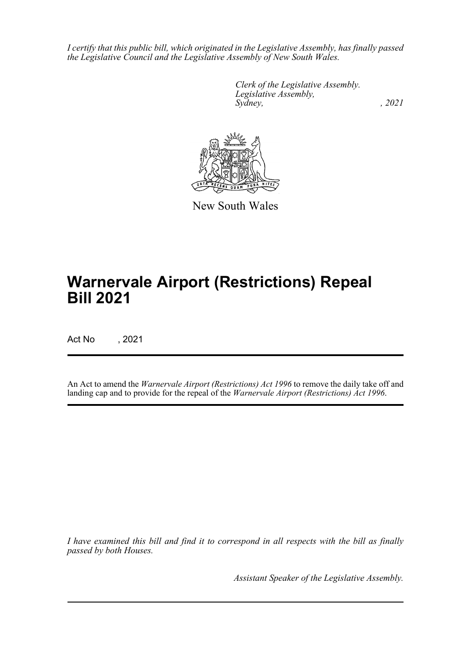*I certify that this public bill, which originated in the Legislative Assembly, has finally passed the Legislative Council and the Legislative Assembly of New South Wales.*

> *Clerk of the Legislative Assembly. Legislative Assembly, Sydney, , 2021*



New South Wales

# **Warnervale Airport (Restrictions) Repeal Bill 2021**

Act No , 2021

An Act to amend the *Warnervale Airport (Restrictions) Act 1996* to remove the daily take off and landing cap and to provide for the repeal of the *Warnervale Airport (Restrictions) Act 1996*.

*I have examined this bill and find it to correspond in all respects with the bill as finally passed by both Houses.*

*Assistant Speaker of the Legislative Assembly.*